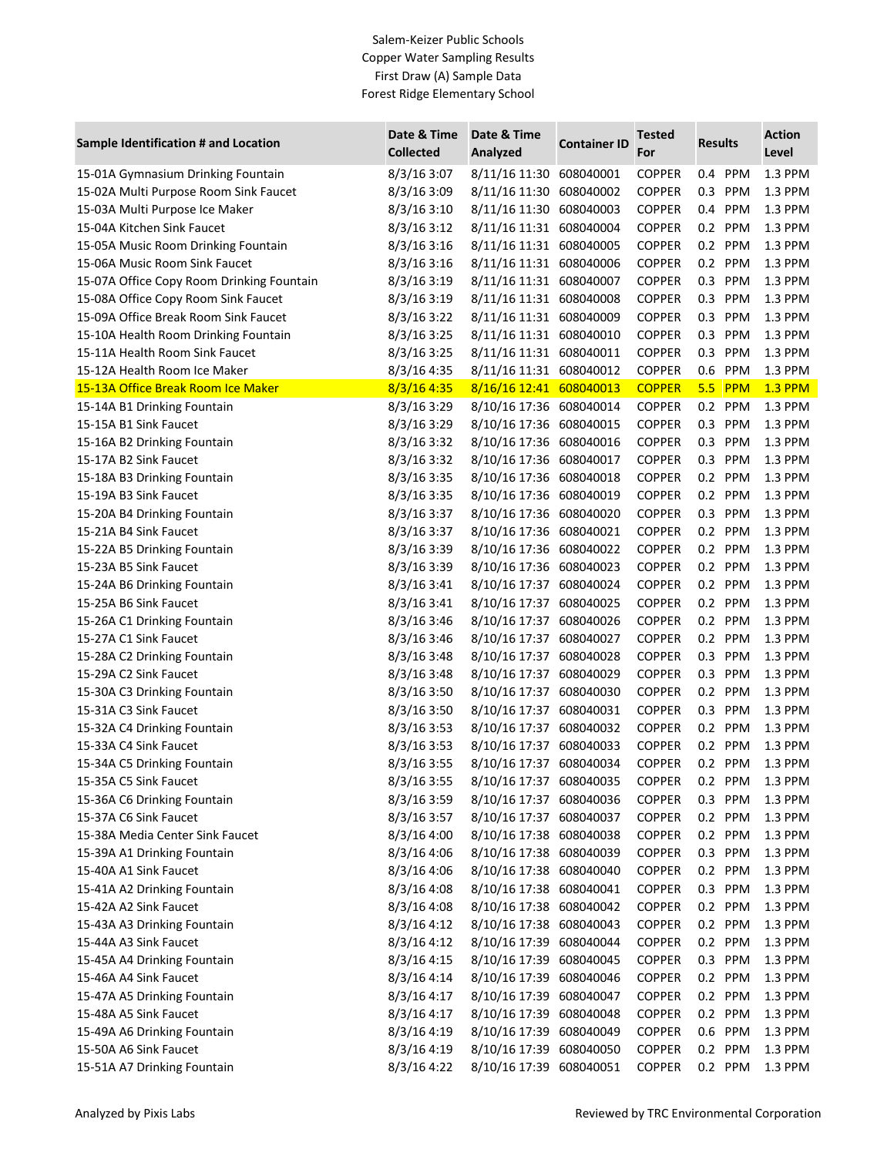## Salem-Keizer Public Schools Copper Water Sampling Results First Draw (A) Sample Data Forest Ridge Elementary School

| Sample Identification # and Location      | Date & Time<br>Date & Time<br><b>Collected</b><br>Analyzed |                         | <b>Tested</b>       |               |                | <b>Action</b> |                |
|-------------------------------------------|------------------------------------------------------------|-------------------------|---------------------|---------------|----------------|---------------|----------------|
|                                           |                                                            |                         | <b>Container ID</b> | For           | <b>Results</b> |               | Level          |
| 15-01A Gymnasium Drinking Fountain        | 8/3/16 3:07                                                | 8/11/16 11:30 608040001 |                     | <b>COPPER</b> | 0.4 PPM        |               | 1.3 PPM        |
| 15-02A Multi Purpose Room Sink Faucet     | 8/3/163:09                                                 | 8/11/16 11:30 608040002 |                     | <b>COPPER</b> | 0.3            | PPM           | 1.3 PPM        |
| 15-03A Multi Purpose Ice Maker            | 8/3/16 3:10                                                | 8/11/16 11:30 608040003 |                     | <b>COPPER</b> | 0.4 PPM        |               | 1.3 PPM        |
| 15-04A Kitchen Sink Faucet                | 8/3/163:12                                                 | 8/11/16 11:31 608040004 |                     | <b>COPPER</b> | 0.2 PPM        |               | 1.3 PPM        |
| 15-05A Music Room Drinking Fountain       | 8/3/163:16                                                 | 8/11/16 11:31 608040005 |                     | <b>COPPER</b> | 0.2 PPM        |               | 1.3 PPM        |
| 15-06A Music Room Sink Faucet             | 8/3/163:16                                                 | 8/11/16 11:31 608040006 |                     | <b>COPPER</b> | 0.2 PPM        |               | 1.3 PPM        |
| 15-07A Office Copy Room Drinking Fountain | 8/3/16 3:19                                                | 8/11/16 11:31 608040007 |                     | <b>COPPER</b> | 0.3 PPM        |               | 1.3 PPM        |
| 15-08A Office Copy Room Sink Faucet       | 8/3/16 3:19                                                | 8/11/16 11:31 608040008 |                     | <b>COPPER</b> | 0.3 PPM        |               | 1.3 PPM        |
| 15-09A Office Break Room Sink Faucet      | 8/3/163:22                                                 | 8/11/16 11:31 608040009 |                     | <b>COPPER</b> | 0.3 PPM        |               | 1.3 PPM        |
| 15-10A Health Room Drinking Fountain      | $8/3/16$ 3:25                                              | 8/11/16 11:31 608040010 |                     | <b>COPPER</b> | 0.3 PPM        |               | 1.3 PPM        |
| 15-11A Health Room Sink Faucet            | 8/3/16 3:25                                                | 8/11/16 11:31 608040011 |                     | <b>COPPER</b> | 0.3 PPM        |               | 1.3 PPM        |
| 15-12A Health Room Ice Maker              | 8/3/16 4:35                                                | 8/11/16 11:31 608040012 |                     | <b>COPPER</b> | 0.6 PPM        |               | 1.3 PPM        |
| 15-13A Office Break Room Ice Maker        | 8/3/16 4:35                                                | 8/16/16 12:41 608040013 |                     | <b>COPPER</b> | 5.5            | PPM           | <b>1.3 PPM</b> |
| 15-14A B1 Drinking Fountain               | $8/3/16$ 3:29                                              | 8/10/16 17:36 608040014 |                     | <b>COPPER</b> | 0.2 PPM        |               | 1.3 PPM        |
| 15-15A B1 Sink Faucet                     | $8/3/16$ 3:29                                              | 8/10/16 17:36 608040015 |                     | <b>COPPER</b> | 0.3 PPM        |               | 1.3 PPM        |
| 15-16A B2 Drinking Fountain               | 8/3/16 3:32                                                | 8/10/16 17:36 608040016 |                     | <b>COPPER</b> | 0.3 PPM        |               | 1.3 PPM        |
| 15-17A B2 Sink Faucet                     | 8/3/163:32                                                 | 8/10/16 17:36 608040017 |                     | <b>COPPER</b> | 0.3 PPM        |               | 1.3 PPM        |
| 15-18A B3 Drinking Fountain               | 8/3/16 3:35                                                | 8/10/16 17:36 608040018 |                     | <b>COPPER</b> | 0.2 PPM        |               | 1.3 PPM        |
| 15-19A B3 Sink Faucet                     | 8/3/16 3:35                                                | 8/10/16 17:36 608040019 |                     | <b>COPPER</b> | 0.2 PPM        |               | 1.3 PPM        |
| 15-20A B4 Drinking Fountain               | 8/3/16 3:37                                                | 8/10/16 17:36 608040020 |                     | <b>COPPER</b> | 0.3 PPM        |               | 1.3 PPM        |
| 15-21A B4 Sink Faucet                     | 8/3/16 3:37                                                | 8/10/16 17:36 608040021 |                     | <b>COPPER</b> | 0.2 PPM        |               | 1.3 PPM        |
| 15-22A B5 Drinking Fountain               | 8/3/16 3:39                                                | 8/10/16 17:36 608040022 |                     | <b>COPPER</b> | 0.2 PPM        |               | 1.3 PPM        |
| 15-23A B5 Sink Faucet                     | 8/3/16 3:39                                                | 8/10/16 17:36 608040023 |                     | <b>COPPER</b> | 0.2 PPM        |               | 1.3 PPM        |
| 15-24A B6 Drinking Fountain               | 8/3/16 3:41                                                | 8/10/16 17:37 608040024 |                     | <b>COPPER</b> | 0.2 PPM        |               | 1.3 PPM        |
| 15-25A B6 Sink Faucet                     | 8/3/163:41                                                 | 8/10/16 17:37 608040025 |                     | <b>COPPER</b> | 0.2 PPM        |               | 1.3 PPM        |
| 15-26A C1 Drinking Fountain               | 8/3/16 3:46                                                | 8/10/16 17:37 608040026 |                     | <b>COPPER</b> | 0.2 PPM        |               | 1.3 PPM        |
| 15-27A C1 Sink Faucet                     | 8/3/16 3:46                                                | 8/10/16 17:37 608040027 |                     | <b>COPPER</b> | 0.2 PPM        |               | 1.3 PPM        |
| 15-28A C2 Drinking Fountain               | 8/3/16 3:48                                                | 8/10/16 17:37 608040028 |                     | <b>COPPER</b> | 0.3 PPM        |               | 1.3 PPM        |
| 15-29A C2 Sink Faucet                     | 8/3/16 3:48                                                | 8/10/16 17:37 608040029 |                     | <b>COPPER</b> | 0.3 PPM        |               | 1.3 PPM        |
| 15-30A C3 Drinking Fountain               | 8/3/16 3:50                                                | 8/10/16 17:37 608040030 |                     | <b>COPPER</b> | 0.2 PPM        |               | 1.3 PPM        |
| 15-31A C3 Sink Faucet                     | 8/3/16 3:50                                                | 8/10/16 17:37 608040031 |                     | <b>COPPER</b> | 0.3 PPM        |               | 1.3 PPM        |
| 15-32A C4 Drinking Fountain               | 8/3/163:53                                                 | 8/10/16 17:37 608040032 |                     | <b>COPPER</b> | 0.2 PPM        |               | 1.3 PPM        |
| 15-33A C4 Sink Faucet                     | 8/3/163:53                                                 | 8/10/16 17:37 608040033 |                     | <b>COPPER</b> | 0.2 PPM        |               | 1.3 PPM        |
| 15-34A C5 Drinking Fountain               | 8/3/16 3:55                                                | 8/10/16 17:37 608040034 |                     | <b>COPPER</b> | 0.2 PPM        |               | 1.3 PPM        |
| 15-35A C5 Sink Faucet                     | 8/3/16 3:55                                                | 8/10/16 17:37 608040035 |                     | COPPER        | 0.2 PPM        |               | 1.3 PPM        |
| 15-36A C6 Drinking Fountain               | $8/3/16$ 3:59                                              | 8/10/16 17:37 608040036 |                     | <b>COPPER</b> | 0.3 PPM        |               | 1.3 PPM        |
| 15-37A C6 Sink Faucet                     | 8/3/16 3:57                                                | 8/10/16 17:37 608040037 |                     | <b>COPPER</b> | 0.2 PPM        |               | 1.3 PPM        |
| 15-38A Media Center Sink Faucet           | 8/3/16 4:00                                                | 8/10/16 17:38 608040038 |                     | <b>COPPER</b> | 0.2 PPM        |               | 1.3 PPM        |
| 15-39A A1 Drinking Fountain               | $8/3/16$ 4:06                                              | 8/10/16 17:38 608040039 |                     | <b>COPPER</b> | 0.3 PPM        |               | 1.3 PPM        |
| 15-40A A1 Sink Faucet                     | $8/3/16$ 4:06                                              | 8/10/16 17:38 608040040 |                     | <b>COPPER</b> | 0.2 PPM        |               | 1.3 PPM        |
| 15-41A A2 Drinking Fountain               | $8/3/16$ 4:08                                              | 8/10/16 17:38 608040041 |                     | <b>COPPER</b> | 0.3 PPM        |               | 1.3 PPM        |
| 15-42A A2 Sink Faucet                     | 8/3/16 4:08                                                | 8/10/16 17:38 608040042 |                     | <b>COPPER</b> | 0.2 PPM        |               | 1.3 PPM        |
| 15-43A A3 Drinking Fountain               | 8/3/16 4:12                                                | 8/10/16 17:38 608040043 |                     | <b>COPPER</b> | 0.2 PPM        |               | 1.3 PPM        |
| 15-44A A3 Sink Faucet                     | 8/3/16 4:12                                                | 8/10/16 17:39           | 608040044           | <b>COPPER</b> | 0.2 PPM        |               | 1.3 PPM        |
| 15-45A A4 Drinking Fountain               | 8/3/164:15                                                 | 8/10/16 17:39           | 608040045           | <b>COPPER</b> | 0.3 PPM        |               | 1.3 PPM        |
| 15-46A A4 Sink Faucet                     | 8/3/16 4:14                                                | 8/10/16 17:39           | 608040046           | <b>COPPER</b> | 0.2 PPM        |               | 1.3 PPM        |
| 15-47A A5 Drinking Fountain               | 8/3/16 4:17                                                | 8/10/16 17:39           | 608040047           | <b>COPPER</b> | 0.2 PPM        |               | 1.3 PPM        |
| 15-48A A5 Sink Faucet                     | 8/3/16 4:17                                                | 8/10/16 17:39           | 608040048           | <b>COPPER</b> | 0.2 PPM        |               | 1.3 PPM        |
| 15-49A A6 Drinking Fountain               | 8/3/16 4:19                                                | 8/10/16 17:39           | 608040049           | <b>COPPER</b> | 0.6 PPM        |               | 1.3 PPM        |
| 15-50A A6 Sink Faucet                     | 8/3/16 4:19                                                | 8/10/16 17:39           | 608040050           | <b>COPPER</b> | 0.2 PPM        |               | 1.3 PPM        |
| 15-51A A7 Drinking Fountain               | 8/3/16 4:22                                                | 8/10/16 17:39 608040051 |                     | <b>COPPER</b> | 0.2 PPM        |               | 1.3 PPM        |
|                                           |                                                            |                         |                     |               |                |               |                |